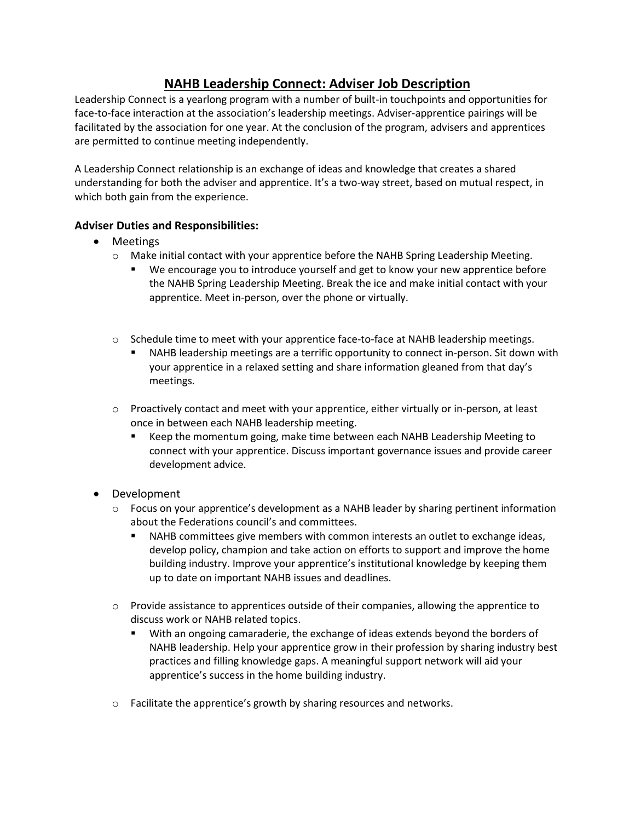## **NAHB Leadership Connect: Adviser Job Description**

Leadership Connect is a yearlong program with a number of built-in touchpoints and opportunities for face-to-face interaction at the association's leadership meetings. Adviser-apprentice pairings will be facilitated by the association for one year. At the conclusion of the program, advisers and apprentices are permitted to continue meeting independently.

A Leadership Connect relationship is an exchange of ideas and knowledge that creates a shared understanding for both the adviser and apprentice. It's a two-way street, based on mutual respect, in which both gain from the experience.

## **Adviser Duties and Responsibilities:**

- Meetings
	- o Make initial contact with your apprentice before the NAHB Spring Leadership Meeting.
		- We encourage you to introduce yourself and get to know your new apprentice before the NAHB Spring Leadership Meeting. Break the ice and make initial contact with your apprentice. Meet in-person, over the phone or virtually.
	- $\circ$  Schedule time to meet with your apprentice face-to-face at NAHB leadership meetings.
		- NAHB leadership meetings are a terrific opportunity to connect in-person. Sit down with your apprentice in a relaxed setting and share information gleaned from that day's meetings.
	- o Proactively contact and meet with your apprentice, either virtually or in-person, at least once in between each NAHB leadership meeting.
		- Keep the momentum going, make time between each NAHB Leadership Meeting to connect with your apprentice. Discuss important governance issues and provide career development advice.
- Development
	- $\circ$  Focus on your apprentice's development as a NAHB leader by sharing pertinent information about the Federations council's and committees.
		- NAHB committees give members with common interests an outlet to exchange ideas, develop policy, champion and take action on efforts to support and improve the home building industry. Improve your apprentice's institutional knowledge by keeping them up to date on important NAHB issues and deadlines.
	- $\circ$  Provide assistance to apprentices outside of their companies, allowing the apprentice to discuss work or NAHB related topics.
		- With an ongoing camaraderie, the exchange of ideas extends beyond the borders of NAHB leadership. Help your apprentice grow in their profession by sharing industry best practices and filling knowledge gaps. A meaningful support network will aid your apprentice's success in the home building industry.
	- $\circ$  Facilitate the apprentice's growth by sharing resources and networks.